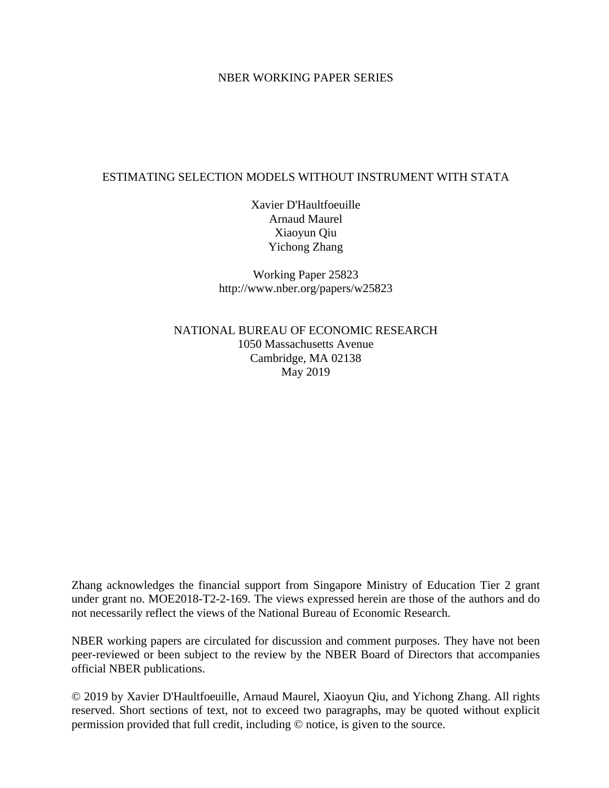### NBER WORKING PAPER SERIES

### ESTIMATING SELECTION MODELS WITHOUT INSTRUMENT WITH STATA

Xavier D'Haultfoeuille Arnaud Maurel Xiaoyun Qiu Yichong Zhang

Working Paper 25823 http://www.nber.org/papers/w25823

NATIONAL BUREAU OF ECONOMIC RESEARCH 1050 Massachusetts Avenue Cambridge, MA 02138 May 2019

Zhang acknowledges the financial support from Singapore Ministry of Education Tier 2 grant under grant no. MOE2018-T2-2-169. The views expressed herein are those of the authors and do not necessarily reflect the views of the National Bureau of Economic Research.

NBER working papers are circulated for discussion and comment purposes. They have not been peer-reviewed or been subject to the review by the NBER Board of Directors that accompanies official NBER publications.

© 2019 by Xavier D'Haultfoeuille, Arnaud Maurel, Xiaoyun Qiu, and Yichong Zhang. All rights reserved. Short sections of text, not to exceed two paragraphs, may be quoted without explicit permission provided that full credit, including © notice, is given to the source.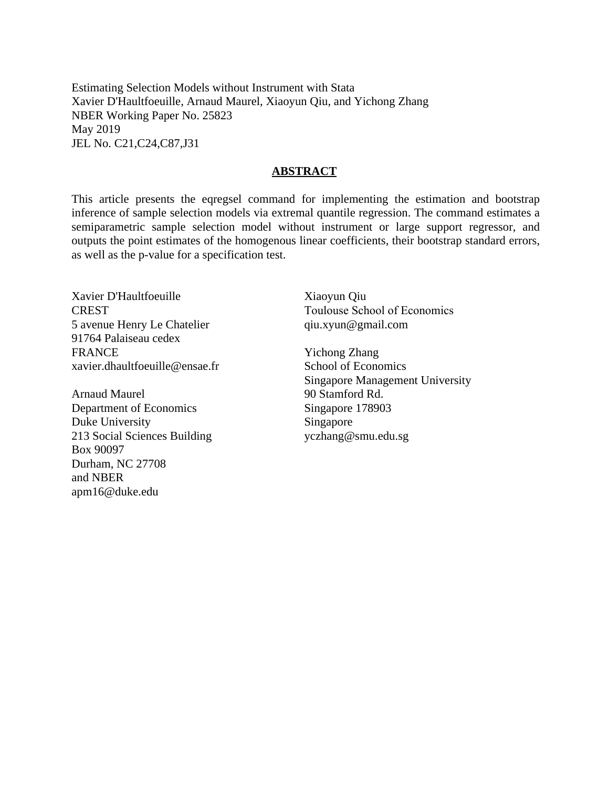Estimating Selection Models without Instrument with Stata Xavier D'Haultfoeuille, Arnaud Maurel, Xiaoyun Qiu, and Yichong Zhang NBER Working Paper No. 25823 May 2019 JEL No. C21,C24,C87,J31

#### **ABSTRACT**

This article presents the eqregsel command for implementing the estimation and bootstrap inference of sample selection models via extremal quantile regression. The command estimates a semiparametric sample selection model without instrument or large support regressor, and outputs the point estimates of the homogenous linear coefficients, their bootstrap standard errors, as well as the p-value for a specification test.

Xavier D'Haultfoeuille **CREST** 5 avenue Henry Le Chatelier 91764 Palaiseau cedex **FRANCE** xavier.dhaultfoeuille@ensae.fr

Arnaud Maurel Department of Economics Duke University 213 Social Sciences Building Box 90097 Durham, NC 27708 and NBER apm16@duke.edu

Xiaoyun Qiu Toulouse School of Economics qiu.xyun@gmail.com

Yichong Zhang School of Economics Singapore Management University 90 Stamford Rd. Singapore 178903 Singapore yczhang@smu.edu.sg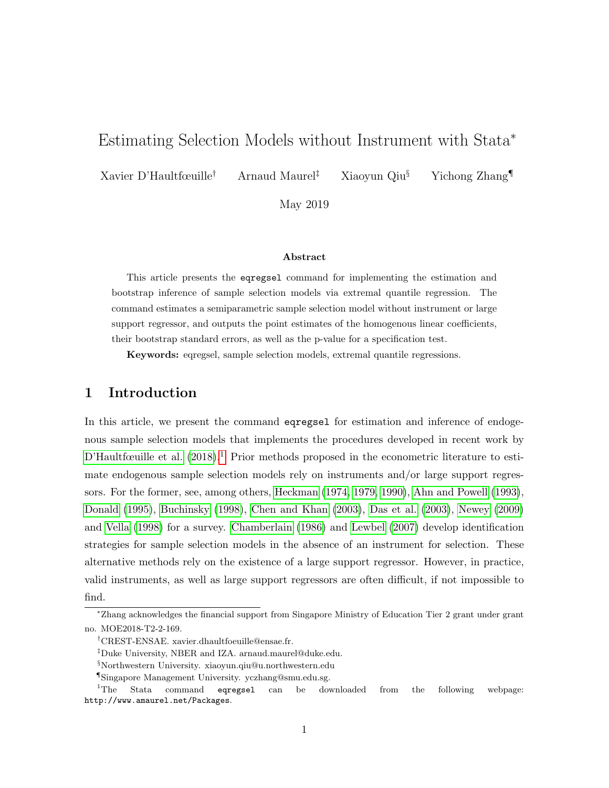# <span id="page-2-0"></span>Estimating Selection Models without Instrument with Stata<sup>∗</sup>

Xavier D'Haultfœuille† Arnaud Maurel‡ Xiaoyun Qiu§ Yichong Zhang¶

May 2019

#### Abstract

This article presents the eqregsel command for implementing the estimation and bootstrap inference of sample selection models via extremal quantile regression. The command estimates a semiparametric sample selection model without instrument or large support regressor, and outputs the point estimates of the homogenous linear coefficients, their bootstrap standard errors, as well as the p-value for a specification test.

Keywords: eqregsel, sample selection models, extremal quantile regressions.

# 1 Introduction

In this article, we present the command eqregsel for estimation and inference of endogenous sample selection models that implements the procedures developed in recent work by [D'Haultfœuille et al.](#page-13-0)  $(2018).<sup>1</sup>$  $(2018).<sup>1</sup>$  Prior methods proposed in the econometric literature to estimate endogenous sample selection models rely on instruments and/or large support regressors. For the former, see, among others, [Heckman](#page-13-1) [\(1974,](#page-13-1) [1979,](#page-13-2) [1990\)](#page-14-0), [Ahn and Powell](#page-13-3) [\(1993\)](#page-13-3), [Donald](#page-13-4) [\(1995\)](#page-13-4), [Buchinsky](#page-13-5) [\(1998\)](#page-13-5), [Chen and Khan](#page-13-6) [\(2003\)](#page-13-6), [Das et al.](#page-13-7) [\(2003\)](#page-13-7), [Newey](#page-14-1) [\(2009\)](#page-14-1) and [Vella](#page-14-2) [\(1998\)](#page-14-2) for a survey. [Chamberlain](#page-13-8) [\(1986\)](#page-13-8) and [Lewbel](#page-14-3) [\(2007\)](#page-14-3) develop identification strategies for sample selection models in the absence of an instrument for selection. These alternative methods rely on the existence of a large support regressor. However, in practice, valid instruments, as well as large support regressors are often difficult, if not impossible to find.

<sup>∗</sup>Zhang acknowledges the financial support from Singapore Ministry of Education Tier 2 grant under grant no. MOE2018-T2-2-169.

<sup>†</sup>CREST-ENSAE. xavier.dhaultfoeuille@ensae.fr.

<sup>‡</sup>Duke University, NBER and IZA. arnaud.maurel@duke.edu.

<sup>§</sup>Northwestern University. xiaoyun.qiu@u.northwestern.edu

<sup>¶</sup>Singapore Management University. yczhang@smu.edu.sg.

<sup>&</sup>lt;sup>1</sup>The Stata command eqregsel can be downloaded from the following webpage: http://www.amaurel.net/Packages.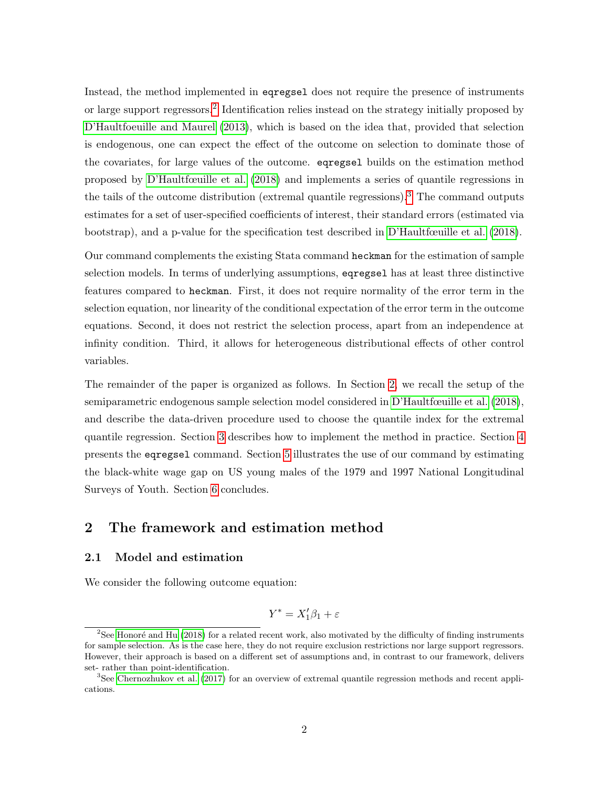Instead, the method implemented in eqregsel does not require the presence of instruments or large support regressors.<sup>[2](#page-2-0)</sup> Identification relies instead on the strategy initially proposed by [D'Haultfoeuille and Maurel](#page-13-9) [\(2013\)](#page-13-9), which is based on the idea that, provided that selection is endogenous, one can expect the effect of the outcome on selection to dominate those of the covariates, for large values of the outcome. eqregsel builds on the estimation method proposed by [D'Haultfœuille et al.](#page-13-0) [\(2018\)](#page-13-0) and implements a series of quantile regressions in the tails of the outcome distribution (extremal quantile regressions).<sup>[3](#page-2-0)</sup> The command outputs estimates for a set of user-specified coefficients of interest, their standard errors (estimated via bootstrap), and a p-value for the specification test described in [D'Haultfœuille et al.](#page-13-0) [\(2018\)](#page-13-0).

Our command complements the existing Stata command heckman for the estimation of sample selection models. In terms of underlying assumptions, eqregsel has at least three distinctive features compared to heckman. First, it does not require normality of the error term in the selection equation, nor linearity of the conditional expectation of the error term in the outcome equations. Second, it does not restrict the selection process, apart from an independence at infinity condition. Third, it allows for heterogeneous distributional effects of other control variables.

The remainder of the paper is organized as follows. In Section [2,](#page-3-0) we recall the setup of the semiparametric endogenous sample selection model considered in [D'Haultfœuille et al.](#page-13-0) [\(2018\)](#page-13-0), and describe the data-driven procedure used to choose the quantile index for the extremal quantile regression. Section [3](#page-6-0) describes how to implement the method in practice. Section [4](#page-8-0) presents the eqregsel command. Section [5](#page-9-0) illustrates the use of our command by estimating the black-white wage gap on US young males of the 1979 and 1997 National Longitudinal Surveys of Youth. Section [6](#page-11-0) concludes.

# <span id="page-3-0"></span>2 The framework and estimation method

#### 2.1 Model and estimation

We consider the following outcome equation:

$$
Y^* = X_1'\beta_1 + \varepsilon
$$

<sup>&</sup>lt;sup>2</sup>See Honoré and Hu [\(2018\)](#page-14-4) for a related recent work, also motivated by the difficulty of finding instruments for sample selection. As is the case here, they do not require exclusion restrictions nor large support regressors. However, their approach is based on a different set of assumptions and, in contrast to our framework, delivers set- rather than point-identification.

<sup>&</sup>lt;sup>3</sup>See [Chernozhukov et al.](#page-13-10) [\(2017\)](#page-13-10) for an overview of extremal quantile regression methods and recent applications.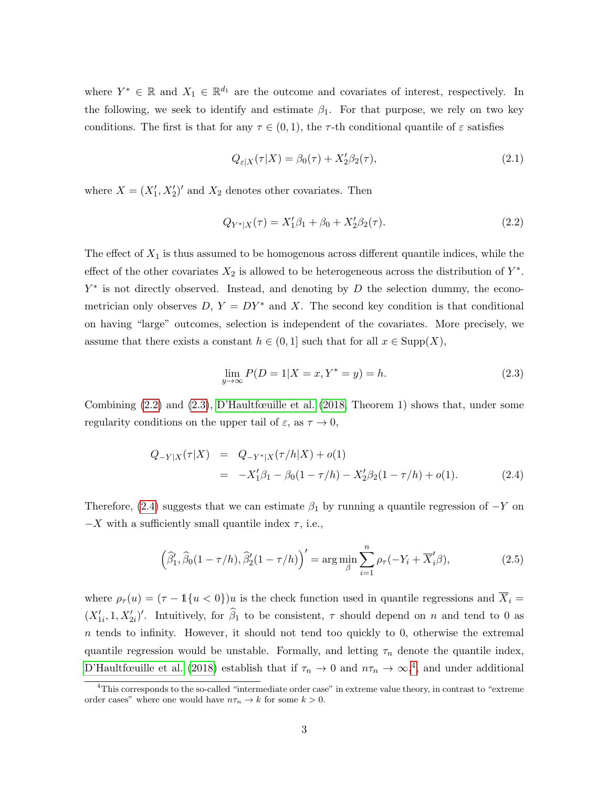where  $Y^* \in \mathbb{R}$  and  $X_1 \in \mathbb{R}^{d_1}$  are the outcome and covariates of interest, respectively. In the following, we seek to identify and estimate  $\beta_1$ . For that purpose, we rely on two key conditions. The first is that for any  $\tau \in (0,1)$ , the  $\tau$ -th conditional quantile of  $\varepsilon$  satisfies

<span id="page-4-3"></span>
$$
Q_{\varepsilon|X}(\tau|X) = \beta_0(\tau) + X_2'\beta_2(\tau),\tag{2.1}
$$

where  $X = (X'_1, X'_2)'$  and  $X_2$  denotes other covariates. Then

<span id="page-4-0"></span>
$$
Q_{Y^*|X}(\tau) = X_1'\beta_1 + \beta_0 + X_2'\beta_2(\tau). \tag{2.2}
$$

The effect of  $X_1$  is thus assumed to be homogenous across different quantile indices, while the effect of the other covariates  $X_2$  is allowed to be heterogeneous across the distribution of  $Y^*$ .  $Y^*$  is not directly observed. Instead, and denoting by  $D$  the selection dummy, the econometrician only observes  $D, Y = DY^*$  and X. The second key condition is that conditional on having "large" outcomes, selection is independent of the covariates. More precisely, we assume that there exists a constant  $h \in (0,1]$  such that for all  $x \in \text{Supp}(X)$ ,

<span id="page-4-1"></span>
$$
\lim_{y \to \infty} P(D = 1 | X = x, Y^* = y) = h.
$$
\n(2.3)

Combining  $(2.2)$  and  $(2.3)$ , [D'Haultfœuille et al.](#page-13-0)  $(2018,$  Theorem 1) shows that, under some regularity conditions on the upper tail of  $\varepsilon$ , as  $\tau \to 0$ ,

<span id="page-4-2"></span>
$$
Q_{-Y|X}(\tau|X) = Q_{-Y^*|X}(\tau/h|X) + o(1)
$$
  
= 
$$
-X'_1\beta_1 - \beta_0(1 - \tau/h) - X'_2\beta_2(1 - \tau/h) + o(1).
$$
 (2.4)

Therefore, [\(2.4\)](#page-4-2) suggests that we can estimate  $\beta_1$  by running a quantile regression of  $-Y$  on  $-X$  with a sufficiently small quantile index  $\tau$ , i.e.,

$$
\left(\widehat{\beta}'_1, \widehat{\beta}_0(1-\tau/h), \widehat{\beta}'_2(1-\tau/h)\right)' = \arg\min_{\beta} \sum_{i=1}^n \rho_\tau(-Y_i + \overline{X}'_i\beta),\tag{2.5}
$$

where  $\rho_{\tau}(u) = (\tau - 1\{u < 0\})u$  is the check function used in quantile regressions and  $\overline{X}_i =$  $(X'_{1i}, 1, X'_{2i})'$ . Intuitively, for  $\hat{\beta}_1$  to be consistent,  $\tau$  should depend on n and tend to 0 as  $n$  tends to infinity. However, it should not tend too quickly to 0, otherwise the extremal quantile regression would be unstable. Formally, and letting  $\tau_n$  denote the quantile index, [D'Haultfœuille et al.](#page-13-0) [\(2018\)](#page-13-0) establish that if  $\tau_n \to 0$  and  $n\tau_n \to \infty$ ,<sup>[4](#page-2-0)</sup>, and under additional

<sup>&</sup>lt;sup>4</sup>This corresponds to the so-called "intermediate order case" in extreme value theory, in contrast to "extreme order cases" where one would have  $n\tau_n \to k$  for some  $k > 0$ .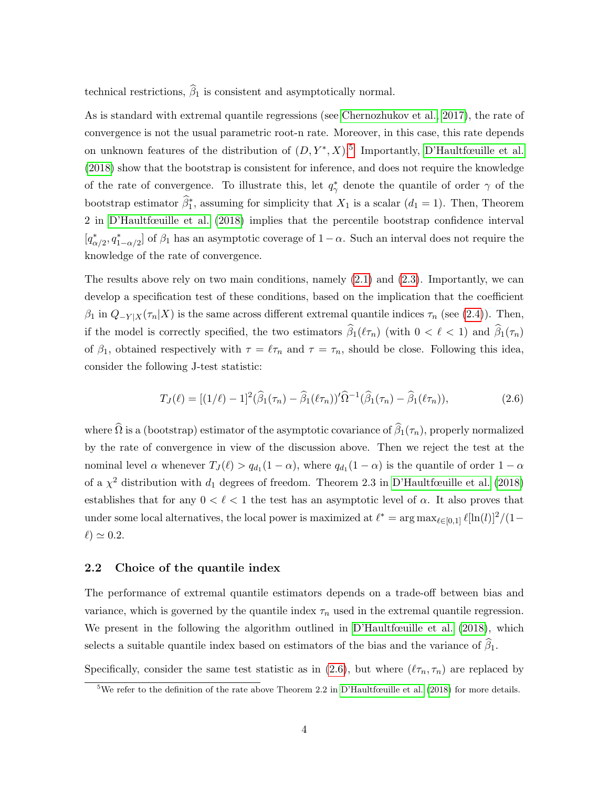technical restrictions,  $\widehat{\beta}_1$  is consistent and asymptotically normal.

As is standard with extremal quantile regressions (see [Chernozhukov et al., 2017\)](#page-13-10), the rate of convergence is not the usual parametric root-n rate. Moreover, in this case, this rate depends on unknown features of the distribution of  $(D, Y^*, X)$ .<sup>[5](#page-2-0)</sup> Importantly, [D'Haultfœuille et al.](#page-13-0) [\(2018\)](#page-13-0) show that the bootstrap is consistent for inference, and does not require the knowledge of the rate of convergence. To illustrate this, let  $q^*_{\gamma}$  denote the quantile of order  $\gamma$  of the bootstrap estimator  $\hat{\beta}_1^*$ , assuming for simplicity that  $X_1$  is a scalar  $(d_1 = 1)$ . Then, Theorem 2 in [D'Haultfœuille et al.](#page-13-0) [\(2018\)](#page-13-0) implies that the percentile bootstrap confidence interval  $[q^*_{\alpha/2}, q^*_{1-\alpha/2}]$  of  $\beta_1$  has an asymptotic coverage of  $1-\alpha$ . Such an interval does not require the knowledge of the rate of convergence.

The results above rely on two main conditions, namely [\(2.1\)](#page-4-3) and [\(2.3\)](#page-4-1). Importantly, we can develop a specification test of these conditions, based on the implication that the coefficient  $β_1$  in  $Q_{-Y|X}(\tau_n|X)$  is the same across different extremal quantile indices  $τ_n$  (see [\(2.4\)](#page-4-2)). Then, if the model is correctly specified, the two estimators  $\widehat{\beta}_1(\ell\tau_n)$  (with  $0 < \ell < 1$ ) and  $\widehat{\beta}_1(\tau_n)$ of  $\beta_1$ , obtained respectively with  $\tau = \ell \tau_n$  and  $\tau = \tau_n$ , should be close. Following this idea, consider the following J-test statistic:

<span id="page-5-0"></span>
$$
T_J(\ell) = [(1/\ell) - 1]^2 (\hat{\beta}_1(\tau_n) - \hat{\beta}_1(\ell \tau_n))' \hat{\Omega}^{-1} (\hat{\beta}_1(\tau_n) - \hat{\beta}_1(\ell \tau_n)), \qquad (2.6)
$$

where  $\widehat{\Omega}$  is a (bootstrap) estimator of the asymptotic covariance of  $\widehat{\beta}_1(\tau_n)$ , properly normalized by the rate of convergence in view of the discussion above. Then we reject the test at the nominal level  $\alpha$  whenever  $T_J(\ell) > q_{d_1}(1-\alpha)$ , where  $q_{d_1}(1-\alpha)$  is the quantile of order  $1-\alpha$ of a  $\chi^2$  distribution with  $d_1$  degrees of freedom. Theorem 2.3 in [D'Haultfœuille et al.](#page-13-0) [\(2018\)](#page-13-0) establishes that for any  $0 < \ell < 1$  the test has an asymptotic level of  $\alpha$ . It also proves that under some local alternatives, the local power is maximized at  $\ell^* = \arg \max_{\ell \in [0,1]} \ell[\ln(\ell)]^2/(1-\ell)$  $\ell$ )  $\simeq$  0.2.

#### <span id="page-5-1"></span>2.2 Choice of the quantile index

The performance of extremal quantile estimators depends on a trade-off between bias and variance, which is governed by the quantile index  $\tau_n$  used in the extremal quantile regression. We present in the following the algorithm outlined in [D'Haultfœuille et al.](#page-13-0) [\(2018\)](#page-13-0), which selects a suitable quantile index based on estimators of the bias and the variance of  $\widehat{\beta}_1$ .

Specifically, consider the same test statistic as in [\(2.6\)](#page-5-0), but where  $(\ell \tau_n, \tau_n)$  are replaced by

 $5$ We refer to the definition of the rate above Theorem 2.2 in [D'Haultfœuille et al.](#page-13-0) [\(2018\)](#page-13-0) for more details.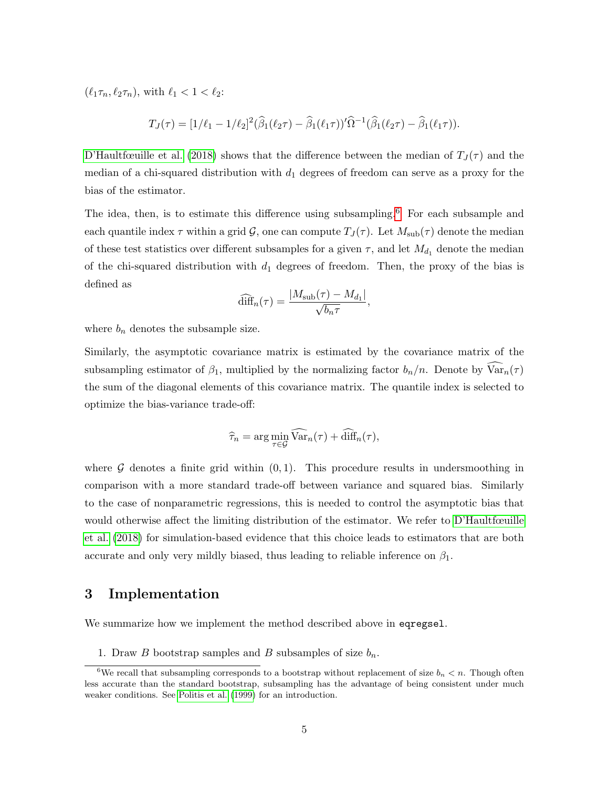$(\ell_1 \tau_n, \ell_2 \tau_n)$ , with  $\ell_1 < 1 < \ell_2$ :

$$
T_J(\tau) = [1/\ell_1 - 1/\ell_2]^2 (\widehat{\beta}_1(\ell_2 \tau) - \widehat{\beta}_1(\ell_1 \tau))^{\prime} \widehat{\Omega}^{-1} (\widehat{\beta}_1(\ell_2 \tau) - \widehat{\beta}_1(\ell_1 \tau)).
$$

[D'Haultfœuille et al.](#page-13-0) [\(2018\)](#page-13-0) shows that the difference between the median of  $T_J(\tau)$  and the median of a chi-squared distribution with  $d_1$  degrees of freedom can serve as a proxy for the bias of the estimator.

The idea, then, is to estimate this difference using subsampling.<sup>[6](#page-2-0)</sup> For each subsample and each quantile index  $\tau$  within a grid  $\mathcal{G}$ , one can compute  $T_J(\tau)$ . Let  $M_{sub}(\tau)$  denote the median of these test statistics over different subsamples for a given  $\tau$ , and let  $M_{d_1}$  denote the median of the chi-squared distribution with  $d_1$  degrees of freedom. Then, the proxy of the bias is defined as

$$
\widehat{\text{diff}}_n(\tau) = \frac{|M_{\text{sub}}(\tau) - M_{d_1}|}{\sqrt{b_n \tau}},
$$

where  $b_n$  denotes the subsample size.

Similarly, the asymptotic covariance matrix is estimated by the covariance matrix of the subsampling estimator of  $\beta_1$ , multiplied by the normalizing factor  $b_n/n$ . Denote by  $\widehat{\text{Var}}_n(\tau)$ the sum of the diagonal elements of this covariance matrix. The quantile index is selected to optimize the bias-variance trade-off:

$$
\widehat{\tau}_n = \arg\min_{\tau \in \mathcal{G}} \widehat{\text{Var}}_n(\tau) + \widehat{\text{diff}}_n(\tau),
$$

where  $G$  denotes a finite grid within  $(0, 1)$ . This procedure results in undersmoothing in comparison with a more standard trade-off between variance and squared bias. Similarly to the case of nonparametric regressions, this is needed to control the asymptotic bias that would otherwise affect the limiting distribution of the estimator. We refer to [D'Haultfœuille](#page-13-0) [et al.](#page-13-0) [\(2018\)](#page-13-0) for simulation-based evidence that this choice leads to estimators that are both accurate and only very mildly biased, thus leading to reliable inference on  $\beta_1$ .

### <span id="page-6-0"></span>3 Implementation

We summarize how we implement the method described above in eqregsel.

1. Draw B bootstrap samples and B subsamples of size  $b_n$ .

<sup>&</sup>lt;sup>6</sup>We recall that subsampling corresponds to a bootstrap without replacement of size  $b_n < n$ . Though often less accurate than the standard bootstrap, subsampling has the advantage of being consistent under much weaker conditions. See [Politis et al.](#page-14-5) [\(1999\)](#page-14-5) for an introduction.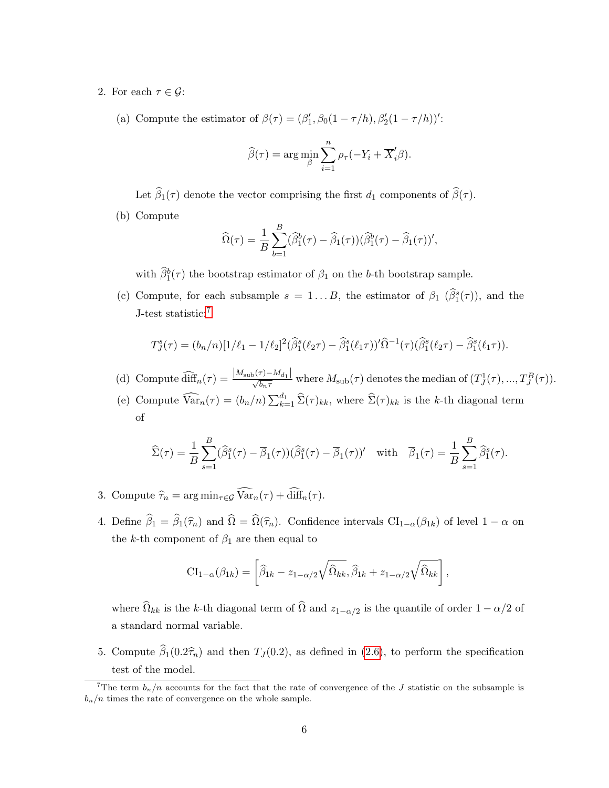- 2. For each  $\tau \in \mathcal{G}$ :
	- (a) Compute the estimator of  $\beta(\tau) = (\beta'_1, \beta_0(1 \tau/h), \beta'_2(1 \tau/h))'$ :

$$
\widehat{\beta}(\tau) = \arg\min_{\beta} \sum_{i=1}^{n} \rho_{\tau}(-Y_i + \overline{X}'_i \beta).
$$

Let  $\widehat{\beta}_1(\tau)$  denote the vector comprising the first  $d_1$  components of  $\widehat{\beta}(\tau)$ .

(b) Compute

$$
\widehat{\Omega}(\tau) = \frac{1}{B} \sum_{b=1}^{B} (\widehat{\beta}_1^b(\tau) - \widehat{\beta}_1(\tau)) (\widehat{\beta}_1^b(\tau) - \widehat{\beta}_1(\tau))',
$$

with  $\hat{\beta}_1^b(\tau)$  the bootstrap estimator of  $\beta_1$  on the b-th bootstrap sample.

(c) Compute, for each subsample  $s = 1...B$ , the estimator of  $\beta_1$   $(\widehat{\beta}_1^s(\tau))$ , and the J-test statistic:[7](#page-2-0)

$$
T_J^s(\tau) = (b_n/n)[1/\ell_1 - 1/\ell_2]^2(\hat{\beta}_1^s(\ell_2 \tau) - \hat{\beta}_1^s(\ell_1 \tau))'\hat{\Omega}^{-1}(\tau)(\hat{\beta}_1^s(\ell_2 \tau) - \hat{\beta}_1^s(\ell_1 \tau)).
$$

- (d) Compute  $\widehat{\text{diff}}_n(\tau) = \frac{|M_{\text{sub}}(\tau) M_{d_1}|}{\sqrt{b_n \tau}}$  where  $M_{\text{sub}}(\tau)$  denotes the median of  $(T^1_J(\tau), ..., T^B_J(\tau))$ .
- (e) Compute  $\widehat{\text{Var}}_n(\tau) = (b_n/n) \sum_{k=1}^{d_1} \widehat{\Sigma}(\tau)_{kk}$ , where  $\widehat{\Sigma}(\tau)_{kk}$  is the k-th diagonal term of

$$
\widehat{\Sigma}(\tau) = \frac{1}{B} \sum_{s=1}^{B} (\widehat{\beta}_1^s(\tau) - \overline{\beta}_1(\tau)) (\widehat{\beta}_1^s(\tau) - \overline{\beta}_1(\tau))'
$$
 with  $\overline{\beta}_1(\tau) = \frac{1}{B} \sum_{s=1}^{B} \widehat{\beta}_1^s(\tau).$ 

- 3. Compute  $\widehat{\tau}_n = \arg \min_{\tau \in \mathcal{G}} \widehat{\text{Var}}_n(\tau) + \widehat{\text{diff}}_n(\tau)$ .
- 4. Define  $\hat{\beta}_1 = \hat{\beta}_1(\hat{\tau}_n)$  and  $\hat{\Omega} = \hat{\Omega}(\hat{\tau}_n)$ . Confidence intervals  $\text{CI}_{1-\alpha}(\beta_{1k})$  of level  $1-\alpha$  on the k-th component of  $\beta_1$  are then equal to

$$
\mathrm{CI}_{1-\alpha}(\beta_{1k}) = \left[\widehat{\beta}_{1k} - z_{1-\alpha/2}\sqrt{\widehat{\Omega}_{kk}}, \widehat{\beta}_{1k} + z_{1-\alpha/2}\sqrt{\widehat{\Omega}_{kk}}\right],
$$

where  $\Omega_{kk}$  is the k-th diagonal term of  $\Omega$  and  $z_{1-\alpha/2}$  is the quantile of order  $1 - \alpha/2$  of a standard normal variable.

5. Compute  $\widehat{\beta}_1(0.2\widehat{\tau}_n)$  and then  $T_J (0.2)$ , as defined in [\(2.6\)](#page-5-0), to perform the specification test of the model.

<sup>&</sup>lt;sup>7</sup>The term  $b_n/n$  accounts for the fact that the rate of convergence of the J statistic on the subsample is  $b_n/n$  times the rate of convergence on the whole sample.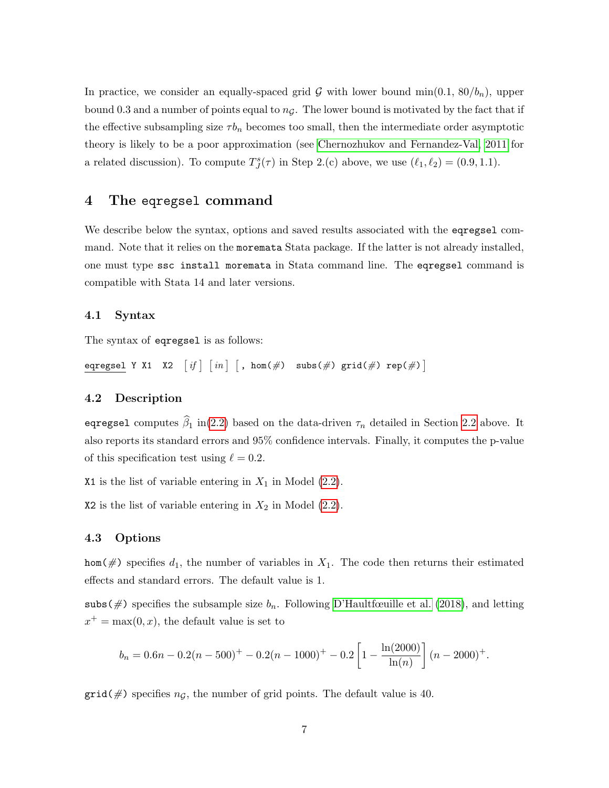In practice, we consider an equally-spaced grid G with lower bound min $(0.1, 80/b_n)$ , upper bound 0.3 and a number of points equal to  $n<sub>G</sub>$ . The lower bound is motivated by the fact that if the effective subsampling size  $\tau b_n$  becomes too small, then the intermediate order asymptotic theory is likely to be a poor approximation (see [Chernozhukov and Fernandez-Val, 2011](#page-13-11) for a related discussion). To compute  $T^s_J(\tau)$  in Step 2.(c) above, we use  $(\ell_1, \ell_2) = (0.9, 1.1)$ .

### <span id="page-8-0"></span>4 The eqregsel command

We describe below the syntax, options and saved results associated with the eqregsel command. Note that it relies on the moremata Stata package. If the latter is not already installed, one must type ssc install moremata in Stata command line. The eqregsel command is compatible with Stata 14 and later versions.

#### 4.1 Syntax

The syntax of eqregsel is as follows:

eqregsel Y X1 X2 - if - in - , hom(#) subs(#) grid(#) rep(#)

#### 4.2 Description

eqregsel computes  $\hat{\beta}_1$  in[\(2.2\)](#page-4-0) based on the data-driven  $\tau_n$  detailed in Section [2.2](#page-5-1) above. It also reports its standard errors and 95% confidence intervals. Finally, it computes the p-value of this specification test using  $\ell = 0.2$ .

X1 is the list of variable entering in  $X_1$  in Model [\(2.2\)](#page-4-0).

X2 is the list of variable entering in  $X_2$  in Model  $(2.2)$ .

#### 4.3 Options

hom( $\#$ ) specifies  $d_1$ , the number of variables in  $X_1$ . The code then returns their estimated effects and standard errors. The default value is 1.

subs(#) specifies the subsample size  $b_n$ . Following [D'Haultfœuille et al.](#page-13-0) [\(2018\)](#page-13-0), and letting  $x^+ = \max(0, x)$ , the default value is set to

$$
b_n = 0.6n - 0.2(n - 500)^{+} - 0.2(n - 1000)^{+} - 0.2\left[1 - \frac{\ln(2000)}{\ln(n)}\right](n - 2000)^{+}.
$$

 $grid(\#)$  specifies  $n<sub>G</sub>$ , the number of grid points. The default value is 40.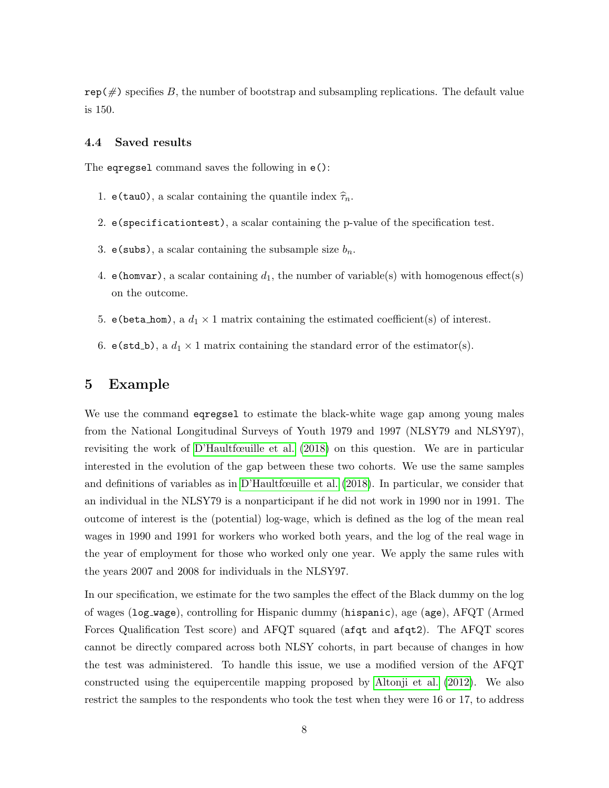$\text{rep}(\#)$  specifies B, the number of bootstrap and subsampling replications. The default value is 150.

#### 4.4 Saved results

The eqregsel command saves the following in e():

- 1. e(tau0), a scalar containing the quantile index  $\hat{\tau}_n$ .
- 2. e(specificationtest), a scalar containing the p-value of the specification test.
- 3. e(subs), a scalar containing the subsample size  $b_n$ .
- 4. e(homvar), a scalar containing  $d_1$ , the number of variable(s) with homogenous effect(s) on the outcome.
- 5. e(beta\_hom), a  $d_1 \times 1$  matrix containing the estimated coefficient(s) of interest.
- 6. e(std\_b), a  $d_1 \times 1$  matrix containing the standard error of the estimator(s).

### <span id="page-9-0"></span>5 Example

We use the command eqregsel to estimate the black-white wage gap among young males from the National Longitudinal Surveys of Youth 1979 and 1997 (NLSY79 and NLSY97), revisiting the work of [D'Haultfœuille et al.](#page-13-0) [\(2018\)](#page-13-0) on this question. We are in particular interested in the evolution of the gap between these two cohorts. We use the same samples and definitions of variables as in [D'Haultfœuille et al.](#page-13-0) [\(2018\)](#page-13-0). In particular, we consider that an individual in the NLSY79 is a nonparticipant if he did not work in 1990 nor in 1991. The outcome of interest is the (potential) log-wage, which is defined as the log of the mean real wages in 1990 and 1991 for workers who worked both years, and the log of the real wage in the year of employment for those who worked only one year. We apply the same rules with the years 2007 and 2008 for individuals in the NLSY97.

In our specification, we estimate for the two samples the effect of the Black dummy on the log of wages (log wage), controlling for Hispanic dummy (hispanic), age (age), AFQT (Armed Forces Qualification Test score) and AFQT squared (afqt and afqt2). The AFQT scores cannot be directly compared across both NLSY cohorts, in part because of changes in how the test was administered. To handle this issue, we use a modified version of the AFQT constructed using the equipercentile mapping proposed by [Altonji et al.](#page-13-12) [\(2012\)](#page-13-12). We also restrict the samples to the respondents who took the test when they were 16 or 17, to address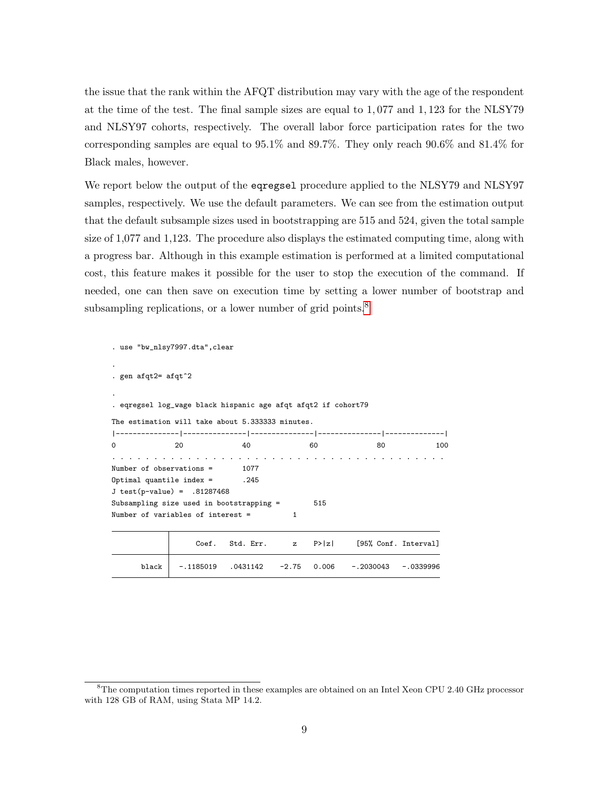the issue that the rank within the AFQT distribution may vary with the age of the respondent at the time of the test. The final sample sizes are equal to 1, 077 and 1, 123 for the NLSY79 and NLSY97 cohorts, respectively. The overall labor force participation rates for the two corresponding samples are equal to 95.1% and 89.7%. They only reach 90.6% and 81.4% for Black males, however.

We report below the output of the eqregsel procedure applied to the NLSY79 and NLSY97 samples, respectively. We use the default parameters. We can see from the estimation output that the default subsample sizes used in bootstrapping are 515 and 524, given the total sample size of 1,077 and 1,123. The procedure also displays the estimated computing time, along with a progress bar. Although in this example estimation is performed at a limited computational cost, this feature makes it possible for the user to stop the execution of the command. If needed, one can then save on execution time by setting a lower number of bootstrap and subsampling replications, or a lower number of grid points.<sup>[8](#page-2-0)</sup>

```
. use "bw_nlsy7997.dta",clear
.
. gen afqt2= afqt^2
.
. eqregsel log_wage black hispanic age afqt afqt2 if cohort79
The estimation will take about 5.333333 minutes.
|---------------|---------------|---------------|---------------|--------------|
0 20 40 60 80 100
    . . . . . . . . . . . . . . . . . . . . . . . . . . . . . . . . . . . . . . . .
Number of observations = 1077
Optimal quantile index = .245
J test(p-value) = .81287468Subsampling size used in bootstrapping = 515
Number of variables of interest = 1
                 Coef. Std. Err. z P>|z| [95%, Conf. Interval]
     black -.1185019 .0431142 -2.75 0.006 -.2030043 -.0339996
```
<sup>&</sup>lt;sup>8</sup>The computation times reported in these examples are obtained on an Intel Xeon CPU 2.40 GHz processor with 128 GB of RAM, using Stata MP 14.2.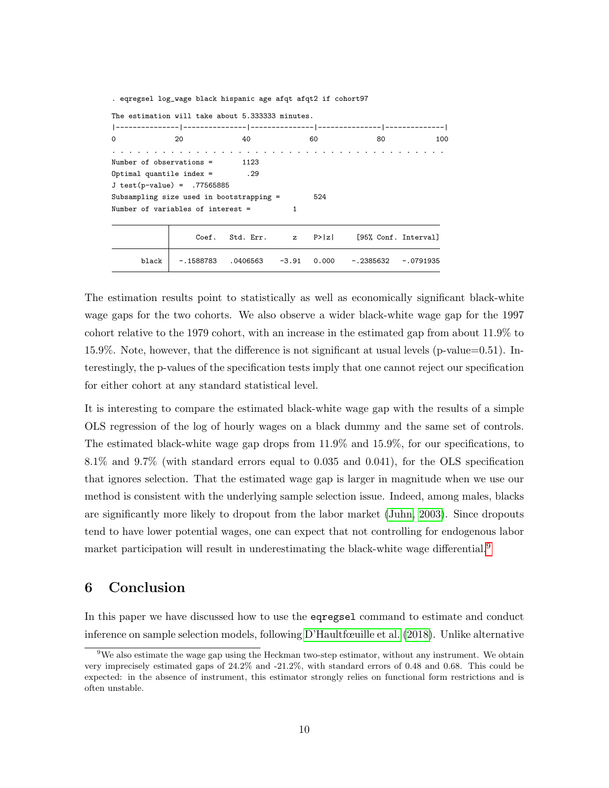|                                                  | . eqregsel log_wage black hispanic age afqt afqt2 if cohort97 |    |      |                                                              |     |
|--------------------------------------------------|---------------------------------------------------------------|----|------|--------------------------------------------------------------|-----|
| The estimation will take about 5.333333 minutes. |                                                               |    |      |                                                              |     |
|                                                  |                                                               |    |      |                                                              |     |
| $\Omega$                                         | 20                                                            | 40 | 60 — | 80 —                                                         | 100 |
|                                                  |                                                               |    |      |                                                              |     |
| Number of observations $=$ 1123                  |                                                               |    |      |                                                              |     |
| $0ptimal$ quantile index = $.29$                 |                                                               |    |      |                                                              |     |
| $J test(p-value) = .77565885$                    |                                                               |    |      |                                                              |     |
| Subsampling size used in bootstrapping =         |                                                               |    | 524  |                                                              |     |
| Number of variables of interest =                |                                                               |    |      |                                                              |     |
|                                                  |                                                               |    |      | Coef. Std. Err. $z \quad P >  z $ [95% Conf. Interval]       |     |
| black                                            |                                                               |    |      | $-.1588783$ $.0406563$ $-3.91$ 0.000 $-.2385632$ $-.0791935$ |     |

The estimation results point to statistically as well as economically significant black-white wage gaps for the two cohorts. We also observe a wider black-white wage gap for the 1997 cohort relative to the 1979 cohort, with an increase in the estimated gap from about 11.9% to 15.9%. Note, however, that the difference is not significant at usual levels (p-value=0.51). Interestingly, the p-values of the specification tests imply that one cannot reject our specification for either cohort at any standard statistical level.

It is interesting to compare the estimated black-white wage gap with the results of a simple OLS regression of the log of hourly wages on a black dummy and the same set of controls. The estimated black-white wage gap drops from 11.9% and 15.9%, for our specifications, to 8.1% and 9.7% (with standard errors equal to 0.035 and 0.041), for the OLS specification that ignores selection. That the estimated wage gap is larger in magnitude when we use our method is consistent with the underlying sample selection issue. Indeed, among males, blacks are significantly more likely to dropout from the labor market [\(Juhn, 2003\)](#page-14-6). Since dropouts tend to have lower potential wages, one can expect that not controlling for endogenous labor market participation will result in underestimating the black-white wage differential.<sup>[9](#page-2-0)</sup>

# <span id="page-11-0"></span>6 Conclusion

In this paper we have discussed how to use the eqregsel command to estimate and conduct inference on sample selection models, following [D'Haultfœuille et al.](#page-13-0) [\(2018\)](#page-13-0). Unlike alternative

<sup>9</sup>We also estimate the wage gap using the Heckman two-step estimator, without any instrument. We obtain very imprecisely estimated gaps of 24.2% and -21.2%, with standard errors of 0.48 and 0.68. This could be expected: in the absence of instrument, this estimator strongly relies on functional form restrictions and is often unstable.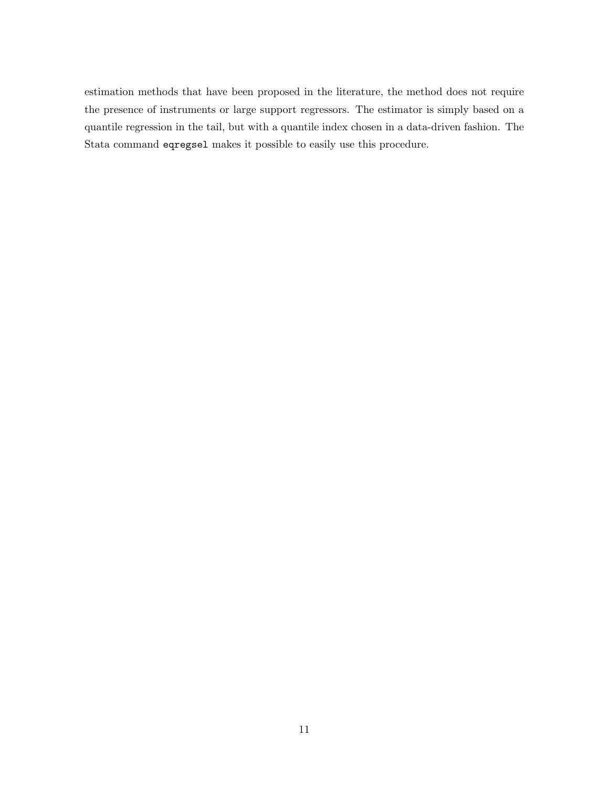estimation methods that have been proposed in the literature, the method does not require the presence of instruments or large support regressors. The estimator is simply based on a quantile regression in the tail, but with a quantile index chosen in a data-driven fashion. The Stata command eqregsel makes it possible to easily use this procedure.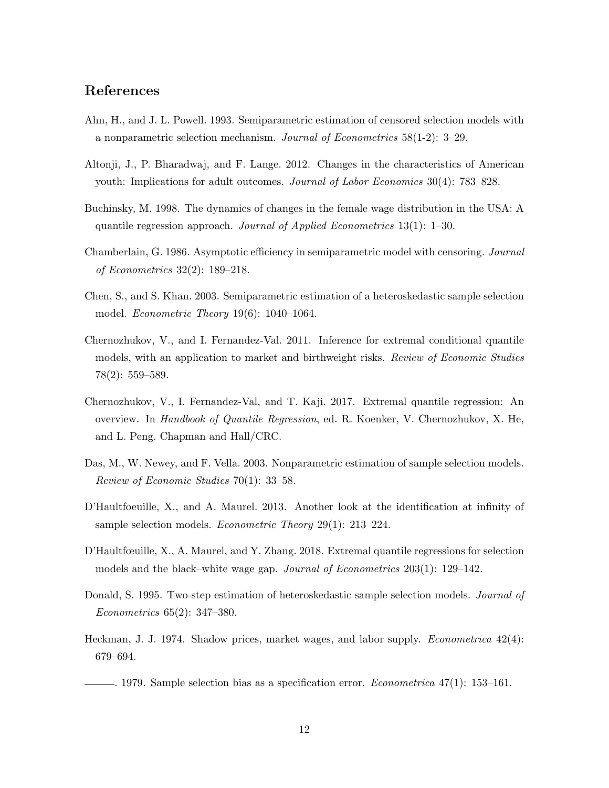### References

- <span id="page-13-3"></span>Ahn, H., and J. L. Powell. 1993. Semiparametric estimation of censored selection models with a nonparametric selection mechanism. Journal of Econometrics 58(1-2): 3–29.
- <span id="page-13-12"></span>Altonji, J., P. Bharadwaj, and F. Lange. 2012. Changes in the characteristics of American youth: Implications for adult outcomes. Journal of Labor Economics 30(4): 783–828.
- <span id="page-13-5"></span>Buchinsky, M. 1998. The dynamics of changes in the female wage distribution in the USA: A quantile regression approach. Journal of Applied Econometrics  $13(1)$ : 1–30.
- <span id="page-13-8"></span>Chamberlain, G. 1986. Asymptotic efficiency in semiparametric model with censoring. Journal of Econometrics 32(2): 189–218.
- <span id="page-13-6"></span>Chen, S., and S. Khan. 2003. Semiparametric estimation of a heteroskedastic sample selection model. *Econometric Theory*  $19(6)$ :  $1040-1064$ .
- <span id="page-13-11"></span>Chernozhukov, V., and I. Fernandez-Val. 2011. Inference for extremal conditional quantile models, with an application to market and birthweight risks. Review of Economic Studies 78(2): 559–589.
- <span id="page-13-10"></span>Chernozhukov, V., I. Fernandez-Val, and T. Kaji. 2017. Extremal quantile regression: An overview. In Handbook of Quantile Regression, ed. R. Koenker, V. Chernozhukov, X. He, and L. Peng. Chapman and Hall/CRC.
- <span id="page-13-7"></span>Das, M., W. Newey, and F. Vella. 2003. Nonparametric estimation of sample selection models. Review of Economic Studies 70(1): 33–58.
- <span id="page-13-9"></span>D'Haultfoeuille, X., and A. Maurel. 2013. Another look at the identification at infinity of sample selection models. *Econometric Theory* 29(1): 213–224.
- <span id="page-13-0"></span>D'Haultfœuille, X., A. Maurel, and Y. Zhang. 2018. Extremal quantile regressions for selection models and the black–white wage gap. Journal of Econometrics 203(1): 129–142.
- <span id="page-13-4"></span>Donald, S. 1995. Two-step estimation of heteroskedastic sample selection models. *Journal of* Econometrics 65(2): 347–380.
- <span id="page-13-1"></span>Heckman, J. J. 1974. Shadow prices, market wages, and labor supply. *Econometrica* 42(4): 679–694.

<span id="page-13-2"></span> $-$ . 1979. Sample selection bias as a specification error. *Econometrica* 47(1): 153–161.